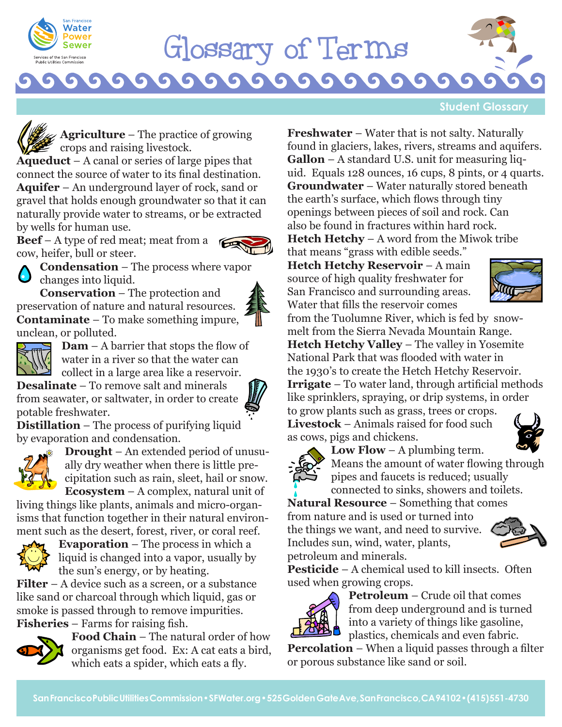

## Glossaryof Terms

G

G

**Student Glossary**

**Agriculture** – The practice of growing crops and raising livestock.

**Aqueduct** – A canal or series of large pipes that connect the source of water to its final destination. **Aquifer** – An underground layer of rock, sand or gravel that holds enough groundwater so that it can naturally provide water to streams, or be extracted by wells for human use.

**Beef** – A type of red meat; meat from a



**Condensation** – The process where vapor changes into liquid.

cow, heifer, bull or steer.

**Conservation** – The protection and preservation of nature and natural resources. **Contaminate** – To make something impure, unclean, or polluted.





**Dam** – A barrier that stops the flow of water in a river so that the water can collect in a large area like a reservoir.

**Desalinate** – To remove salt and minerals from seawater, or saltwater, in order to create potable freshwater.



**Distillation** – The process of purifying liquid by evaporation and condensation.



**Drought** – An extended period of unusually dry weather when there is little precipitation such as rain, sleet, hail or snow. **Ecosystem** – A complex, natural unit of

living things like plants, animals and micro-organisms that function together in their natural environment such as the desert, forest, river, or coral reef.



**Evaporation** – The process in which a liquid is changed into a vapor, usually by the sun's energy, or by heating.

**Filter** – A device such as a screen, or a substance like sand or charcoal through which liquid, gas or smoke is passed through to remove impurities. **Fisheries** – Farms for raising fish.



**Food Chain** – The natural order of how organisms get food. Ex: A cat eats a bird, which eats a spider, which eats a fly.

**Freshwater** – Water that is not salty. Naturally found in glaciers, lakes, rivers, streams and aquifers. **Gallon** – A standard U.S. unit for measuring liquid. Equals 128 ounces, 16 cups, 8 pints, or 4 quarts. **Groundwater** – Water naturally stored beneath the earth's surface, which flows through tiny openings between pieces of soil and rock. Can also be found in fractures within hard rock. **Hetch Hetchy** – A word from the Miwok tribe

that means "grass with edible seeds." **Hetch Hetchy Reservoir** – A main source of high quality freshwater for San Francisco and surrounding areas. Water that fills the reservoir comes



from the Tuolumne River, which is fed by snowmelt from the Sierra Nevada Mountain Range. **Hetch Hetchy Valley** – The valley in Yosemite National Park that was flooded with water in the 1930's to create the Hetch Hetchy Reservoir. **Irrigate** – To water land, through artificial methods like sprinklers, spraying, or drip systems, in order to grow plants such as grass, trees or crops. **Livestock** – Animals raised for food such as cows, pigs and chickens.



**Low Flow** – A plumbing term. Means the amount of water flowing through pipes and faucets is reduced; usually

connected to sinks, showers and toilets. **Natural Resource** – Something that comes from nature and is used or turned into

the things we want, and need to survive. Includes sun, wind, water, plants, petroleum and minerals.



**Pesticide** – A chemical used to kill insects. Often used when growing crops.



**Petroleum** – Crude oil that comes from deep underground and is turned into a variety of things like gasoline, plastics, chemicals and even fabric.

**Percolation** – When a liquid passes through a filter or porous substance like sand or soil.